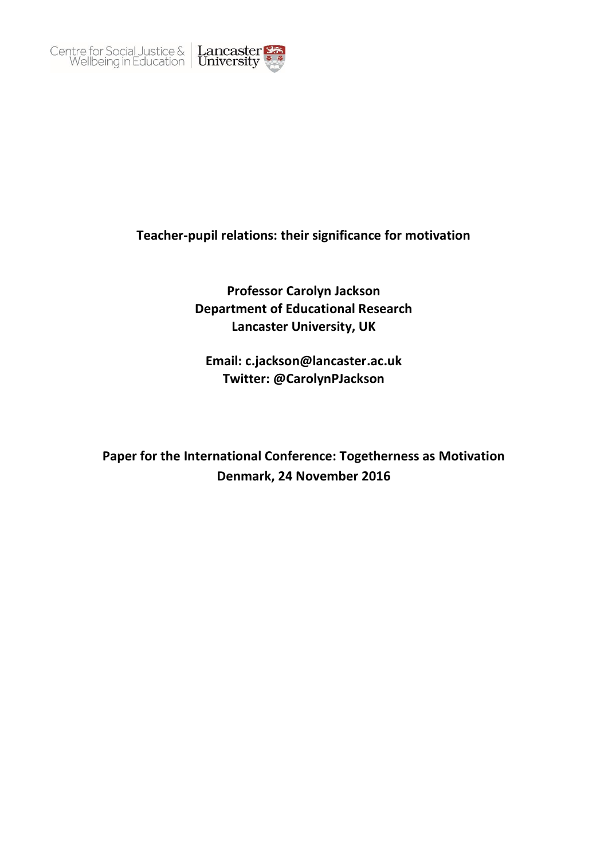

# **Teacher-pupil relations: their significance for motivation**

**Professor Carolyn Jackson Department of Educational Research Lancaster University, UK**

**Email: [c.jackson@lancaster.ac.uk](mailto:c.jackson@lancaster.ac.uk) Twitter: @CarolynPJackson**

**Paper for the International Conference: Togetherness as Motivation Denmark, 24 November 2016**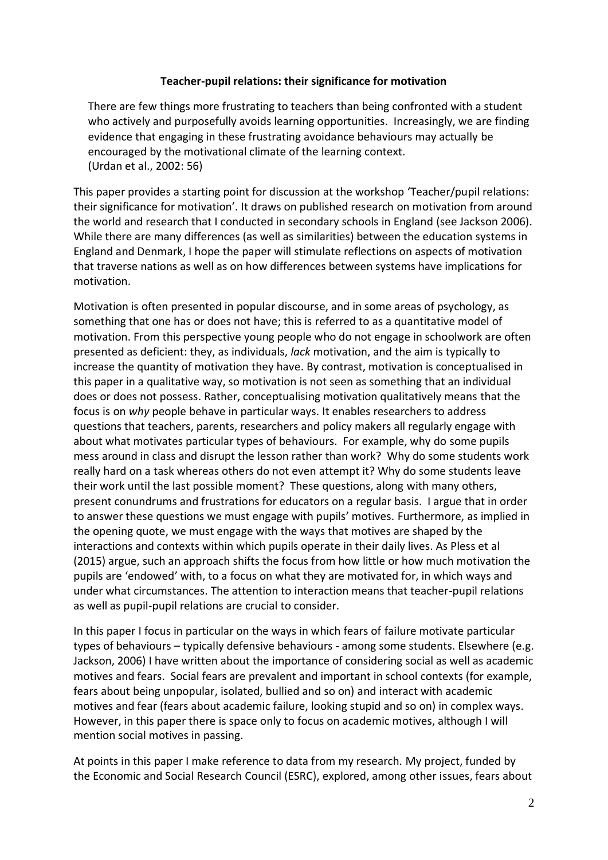### **Teacher-pupil relations: their significance for motivation**

There are few things more frustrating to teachers than being confronted with a student who actively and purposefully avoids learning opportunities. Increasingly, we are finding evidence that engaging in these frustrating avoidance behaviours may actually be encouraged by the motivational climate of the learning context. (Urdan et al., 2002: 56)

This paper provides a starting point for discussion at the workshop 'Teacher/pupil relations: their significance for motivation'. It draws on published research on motivation from around the world and research that I conducted in secondary schools in England (see Jackson 2006). While there are many differences (as well as similarities) between the education systems in England and Denmark, I hope the paper will stimulate reflections on aspects of motivation that traverse nations as well as on how differences between systems have implications for motivation.

Motivation is often presented in popular discourse, and in some areas of psychology, as something that one has or does not have; this is referred to as a quantitative model of motivation. From this perspective young people who do not engage in schoolwork are often presented as deficient: they, as individuals, *lack* motivation, and the aim is typically to increase the quantity of motivation they have. By contrast, motivation is conceptualised in this paper in a qualitative way, so motivation is not seen as something that an individual does or does not possess. Rather, conceptualising motivation qualitatively means that the focus is on *why* people behave in particular ways. It enables researchers to address questions that teachers, parents, researchers and policy makers all regularly engage with about what motivates particular types of behaviours. For example, why do some pupils mess around in class and disrupt the lesson rather than work? Why do some students work really hard on a task whereas others do not even attempt it? Why do some students leave their work until the last possible moment? These questions, along with many others, present conundrums and frustrations for educators on a regular basis. I argue that in order to answer these questions we must engage with pupils' motives. Furthermore, as implied in the opening quote, we must engage with the ways that motives are shaped by the interactions and contexts within which pupils operate in their daily lives. As Pless et al (2015) argue, such an approach shifts the focus from how little or how much motivation the pupils are 'endowed' with, to a focus on what they are motivated for, in which ways and under what circumstances. The attention to interaction means that teacher-pupil relations as well as pupil-pupil relations are crucial to consider.

In this paper I focus in particular on the ways in which fears of failure motivate particular types of behaviours – typically defensive behaviours - among some students. Elsewhere (e.g. Jackson, 2006) I have written about the importance of considering social as well as academic motives and fears. Social fears are prevalent and important in school contexts (for example, fears about being unpopular, isolated, bullied and so on) and interact with academic motives and fear (fears about academic failure, looking stupid and so on) in complex ways. However, in this paper there is space only to focus on academic motives, although I will mention social motives in passing.

At points in this paper I make reference to data from my research. My project, funded by the Economic and Social Research Council (ESRC), explored, among other issues, fears about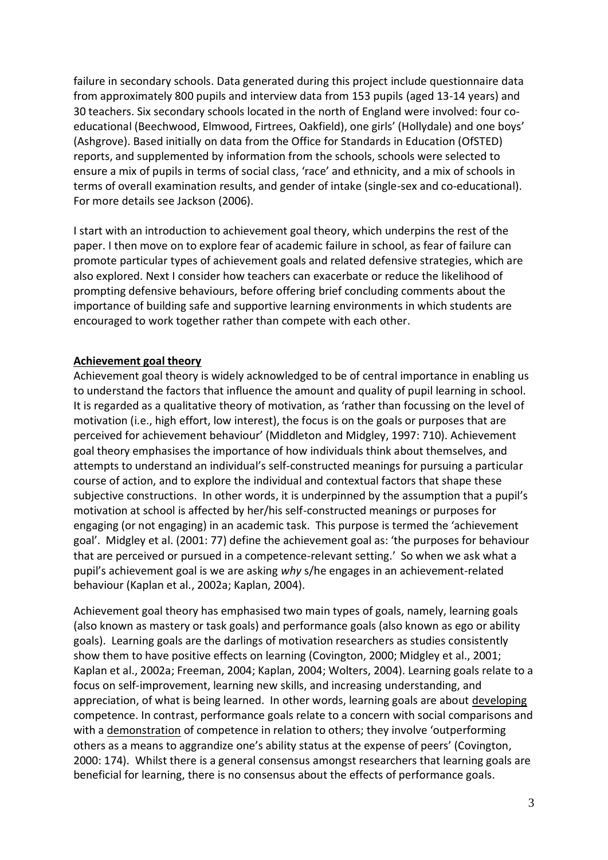failure in secondary schools. Data generated during this project include questionnaire data from approximately 800 pupils and interview data from 153 pupils (aged 13-14 years) and 30 teachers. Six secondary schools located in the north of England were involved: four coeducational (Beechwood, Elmwood, Firtrees, Oakfield), one girls' (Hollydale) and one boys' (Ashgrove). Based initially on data from the Office for Standards in Education (OfSTED) reports, and supplemented by information from the schools, schools were selected to ensure a mix of pupils in terms of social class, 'race' and ethnicity, and a mix of schools in terms of overall examination results, and gender of intake (single-sex and co-educational). For more details see Jackson (2006).

I start with an introduction to achievement goal theory, which underpins the rest of the paper. I then move on to explore fear of academic failure in school, as fear of failure can promote particular types of achievement goals and related defensive strategies, which are also explored. Next I consider how teachers can exacerbate or reduce the likelihood of prompting defensive behaviours, before offering brief concluding comments about the importance of building safe and supportive learning environments in which students are encouraged to work together rather than compete with each other.

### **Achievement goal theory**

Achievement goal theory is widely acknowledged to be of central importance in enabling us to understand the factors that influence the amount and quality of pupil learning in school. It is regarded as a qualitative theory of motivation, as 'rather than focussing on the level of motivation (i.e., high effort, low interest), the focus is on the goals or purposes that are perceived for achievement behaviour' (Middleton and Midgley, 1997: 710). Achievement goal theory emphasises the importance of how individuals think about themselves, and attempts to understand an individual's self-constructed meanings for pursuing a particular course of action, and to explore the individual and contextual factors that shape these subjective constructions. In other words, it is underpinned by the assumption that a pupil's motivation at school is affected by her/his self-constructed meanings or purposes for engaging (or not engaging) in an academic task. This purpose is termed the 'achievement goal'. Midgley et al. (2001: 77) define the achievement goal as: 'the purposes for behaviour that are perceived or pursued in a competence-relevant setting.' So when we ask what a pupil's achievement goal is we are asking *why* s/he engages in an achievement-related behaviour (Kaplan et al., 2002a; Kaplan, 2004).

Achievement goal theory has emphasised two main types of goals, namely, learning goals (also known as mastery or task goals) and performance goals (also known as ego or ability goals). Learning goals are the darlings of motivation researchers as studies consistently show them to have positive effects on learning (Covington, 2000; Midgley et al., 2001; Kaplan et al., 2002a; Freeman, 2004; Kaplan, 2004; Wolters, 2004). Learning goals relate to a focus on self-improvement, learning new skills, and increasing understanding, and appreciation, of what is being learned. In other words, learning goals are about developing competence. In contrast, performance goals relate to a concern with social comparisons and with a demonstration of competence in relation to others; they involve 'outperforming others as a means to aggrandize one's ability status at the expense of peers' (Covington, 2000: 174). Whilst there is a general consensus amongst researchers that learning goals are beneficial for learning, there is no consensus about the effects of performance goals.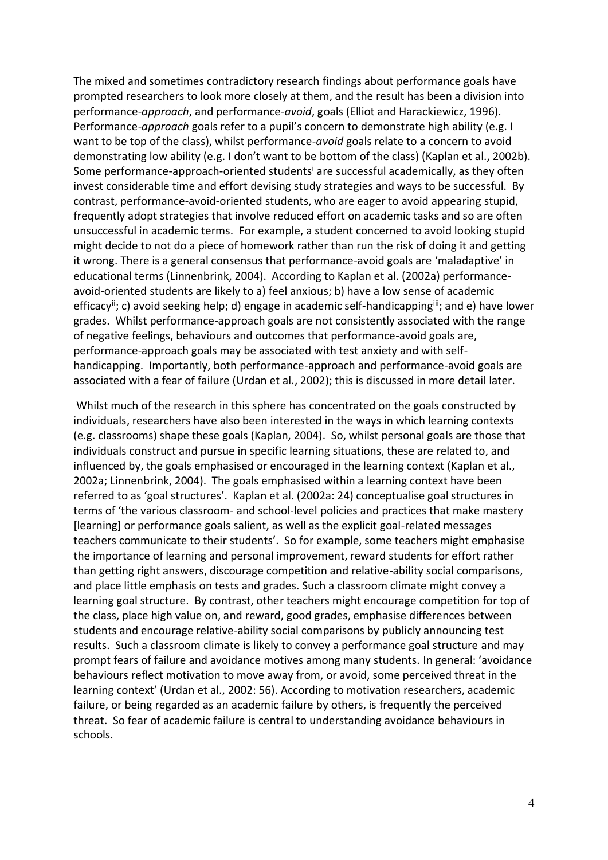The mixed and sometimes contradictory research findings about performance goals have prompted researchers to look more closely at them, and the result has been a division into performance-*approach*, and performance-*avoid*, goals (Elliot and Harackiewicz, 1996). Performance-*approach* goals refer to a pupil's concern to demonstrate high ability (e.g. I want to be top of the class), whilst performance-*avoid* goals relate to a concern to avoid demonstrating low ability (e.g. I don't want to be bottom of the class) (Kaplan et al., 2002b). Some performance-approach-oriented students<sup>i</sup> are successful academically, as they often invest considerable time and effort devising study strategies and ways to be successful. By contrast, performance-avoid-oriented students, who are eager to avoid appearing stupid, frequently adopt strategies that involve reduced effort on academic tasks and so are often unsuccessful in academic terms. For example, a student concerned to avoid looking stupid might decide to not do a piece of homework rather than run the risk of doing it and getting it wrong. There is a general consensus that performance-avoid goals are 'maladaptive' in educational terms (Linnenbrink, 2004). According to Kaplan et al. (2002a) performanceavoid-oriented students are likely to a) feel anxious; b) have a low sense of academic efficacy<sup>ii</sup>; c) avoid seeking help; d) engage in academic self-handicapping<sup>iii</sup>; and e) have lower grades. Whilst performance-approach goals are not consistently associated with the range of negative feelings, behaviours and outcomes that performance-avoid goals are, performance-approach goals may be associated with test anxiety and with selfhandicapping. Importantly, both performance-approach and performance-avoid goals are associated with a fear of failure (Urdan et al., 2002); this is discussed in more detail later.

Whilst much of the research in this sphere has concentrated on the goals constructed by individuals, researchers have also been interested in the ways in which learning contexts (e.g. classrooms) shape these goals (Kaplan, 2004). So, whilst personal goals are those that individuals construct and pursue in specific learning situations, these are related to, and influenced by, the goals emphasised or encouraged in the learning context (Kaplan et al., 2002a; Linnenbrink, 2004). The goals emphasised within a learning context have been referred to as 'goal structures'. Kaplan et al. (2002a: 24) conceptualise goal structures in terms of 'the various classroom- and school-level policies and practices that make mastery [learning] or performance goals salient, as well as the explicit goal-related messages teachers communicate to their students'. So for example, some teachers might emphasise the importance of learning and personal improvement, reward students for effort rather than getting right answers, discourage competition and relative-ability social comparisons, and place little emphasis on tests and grades. Such a classroom climate might convey a learning goal structure. By contrast, other teachers might encourage competition for top of the class, place high value on, and reward, good grades, emphasise differences between students and encourage relative-ability social comparisons by publicly announcing test results. Such a classroom climate is likely to convey a performance goal structure and may prompt fears of failure and avoidance motives among many students. In general: 'avoidance behaviours reflect motivation to move away from, or avoid, some perceived threat in the learning context' (Urdan et al., 2002: 56). According to motivation researchers, academic failure, or being regarded as an academic failure by others, is frequently the perceived threat. So fear of academic failure is central to understanding avoidance behaviours in schools.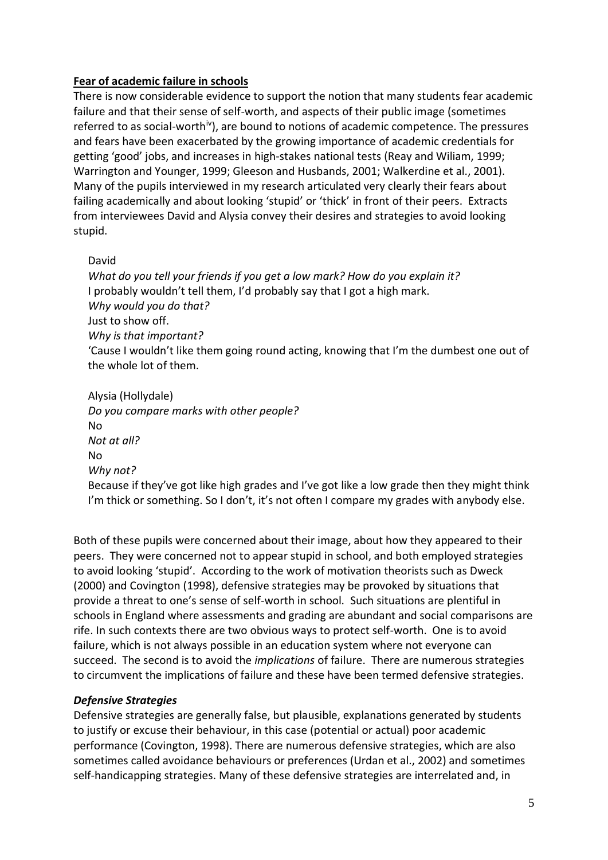### **Fear of academic failure in schools**

There is now considerable evidence to support the notion that many students fear academic failure and that their sense of self-worth, and aspects of their public image (sometimes referred to as social-worth<sup>iv</sup>), are bound to notions of academic competence. The pressures and fears have been exacerbated by the growing importance of academic credentials for getting 'good' jobs, and increases in high-stakes national tests (Reay and Wiliam, 1999; Warrington and Younger, 1999; Gleeson and Husbands, 2001; Walkerdine et al., 2001). Many of the pupils interviewed in my research articulated very clearly their fears about failing academically and about looking 'stupid' or 'thick' in front of their peers. Extracts from interviewees David and Alysia convey their desires and strategies to avoid looking stupid.

### David

*What do you tell your friends if you get a low mark? How do you explain it?* I probably wouldn't tell them, I'd probably say that I got a high mark. *Why would you do that?* Just to show off. *Why is that important?* 'Cause I wouldn't like them going round acting, knowing that I'm the dumbest one out of the whole lot of them.

Alysia (Hollydale) *Do you compare marks with other people?* No *Not at all?* No *Why not?* Because if they've got like high grades and I've got like a low grade then they might think I'm thick or something. So I don't, it's not often I compare my grades with anybody else.

Both of these pupils were concerned about their image, about how they appeared to their peers. They were concerned not to appear stupid in school, and both employed strategies to avoid looking 'stupid'. According to the work of motivation theorists such as Dweck (2000) and Covington (1998), defensive strategies may be provoked by situations that provide a threat to one's sense of self-worth in school. Such situations are plentiful in schools in England where assessments and grading are abundant and social comparisons are rife. In such contexts there are two obvious ways to protect self-worth. One is to avoid failure, which is not always possible in an education system where not everyone can succeed. The second is to avoid the *implications* of failure. There are numerous strategies to circumvent the implications of failure and these have been termed defensive strategies.

### *Defensive Strategies*

Defensive strategies are generally false, but plausible, explanations generated by students to justify or excuse their behaviour, in this case (potential or actual) poor academic performance (Covington, 1998). There are numerous defensive strategies, which are also sometimes called avoidance behaviours or preferences (Urdan et al., 2002) and sometimes self-handicapping strategies. Many of these defensive strategies are interrelated and, in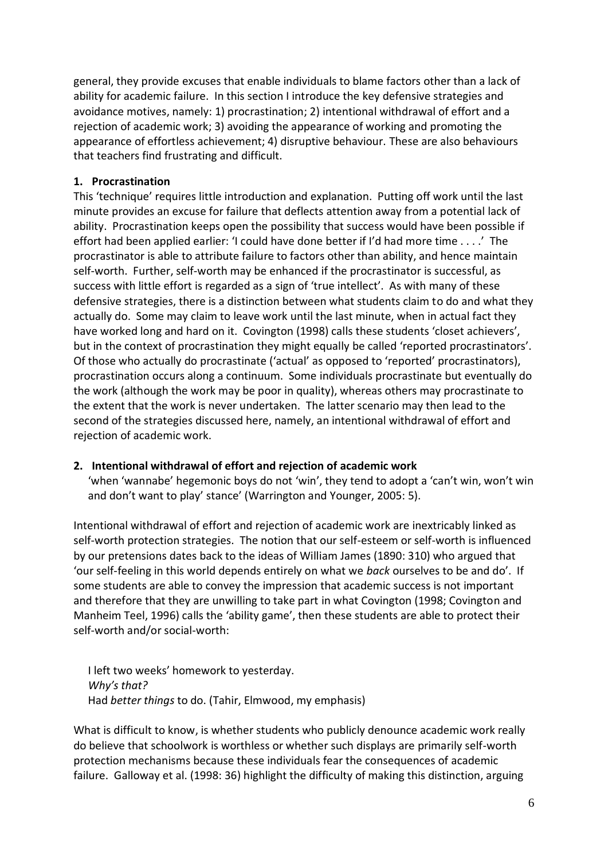general, they provide excuses that enable individuals to blame factors other than a lack of ability for academic failure. In this section I introduce the key defensive strategies and avoidance motives, namely: 1) procrastination; 2) intentional withdrawal of effort and a rejection of academic work; 3) avoiding the appearance of working and promoting the appearance of effortless achievement; 4) disruptive behaviour. These are also behaviours that teachers find frustrating and difficult.

### **1. Procrastination**

This 'technique' requires little introduction and explanation. Putting off work until the last minute provides an excuse for failure that deflects attention away from a potential lack of ability. Procrastination keeps open the possibility that success would have been possible if effort had been applied earlier: 'I could have done better if I'd had more time . . . .' The procrastinator is able to attribute failure to factors other than ability, and hence maintain self-worth. Further, self-worth may be enhanced if the procrastinator is successful, as success with little effort is regarded as a sign of 'true intellect'. As with many of these defensive strategies, there is a distinction between what students claim to do and what they actually do. Some may claim to leave work until the last minute, when in actual fact they have worked long and hard on it. Covington (1998) calls these students 'closet achievers', but in the context of procrastination they might equally be called 'reported procrastinators'. Of those who actually do procrastinate ('actual' as opposed to 'reported' procrastinators), procrastination occurs along a continuum. Some individuals procrastinate but eventually do the work (although the work may be poor in quality), whereas others may procrastinate to the extent that the work is never undertaken. The latter scenario may then lead to the second of the strategies discussed here, namely, an intentional withdrawal of effort and rejection of academic work.

#### **2. Intentional withdrawal of effort and rejection of academic work**

'when 'wannabe' hegemonic boys do not 'win', they tend to adopt a 'can't win, won't win and don't want to play' stance' (Warrington and Younger, 2005: 5).

Intentional withdrawal of effort and rejection of academic work are inextricably linked as self-worth protection strategies. The notion that our self-esteem or self-worth is influenced by our pretensions dates back to the ideas of William James (1890: 310) who argued that 'our self-feeling in this world depends entirely on what we *back* ourselves to be and do'. If some students are able to convey the impression that academic success is not important and therefore that they are unwilling to take part in what Covington (1998; Covington and Manheim Teel, 1996) calls the 'ability game', then these students are able to protect their self-worth and/or social-worth:

I left two weeks' homework to yesterday. *Why's that?*  Had *better things* to do. (Tahir, Elmwood, my emphasis)

What is difficult to know, is whether students who publicly denounce academic work really do believe that schoolwork is worthless or whether such displays are primarily self-worth protection mechanisms because these individuals fear the consequences of academic failure. Galloway et al. (1998: 36) highlight the difficulty of making this distinction, arguing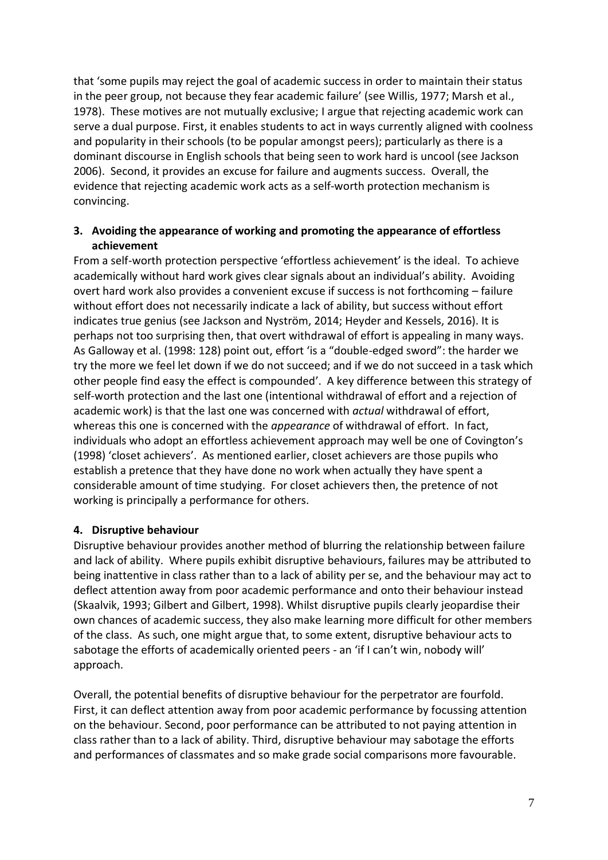that 'some pupils may reject the goal of academic success in order to maintain their status in the peer group, not because they fear academic failure' (see Willis, 1977; Marsh et al., 1978). These motives are not mutually exclusive; I argue that rejecting academic work can serve a dual purpose. First, it enables students to act in ways currently aligned with coolness and popularity in their schools (to be popular amongst peers); particularly as there is a dominant discourse in English schools that being seen to work hard is uncool (see Jackson 2006). Second, it provides an excuse for failure and augments success. Overall, the evidence that rejecting academic work acts as a self-worth protection mechanism is convincing.

## **3. Avoiding the appearance of working and promoting the appearance of effortless achievement**

From a self-worth protection perspective 'effortless achievement' is the ideal. To achieve academically without hard work gives clear signals about an individual's ability. Avoiding overt hard work also provides a convenient excuse if success is not forthcoming – failure without effort does not necessarily indicate a lack of ability, but success without effort indicates true genius (see Jackson and Nyström, 2014; Heyder and Kessels, 2016). It is perhaps not too surprising then, that overt withdrawal of effort is appealing in many ways. As Galloway et al. (1998: 128) point out, effort 'is a "double-edged sword": the harder we try the more we feel let down if we do not succeed; and if we do not succeed in a task which other people find easy the effect is compounded'. A key difference between this strategy of self-worth protection and the last one (intentional withdrawal of effort and a rejection of academic work) is that the last one was concerned with *actual* withdrawal of effort, whereas this one is concerned with the *appearance* of withdrawal of effort. In fact, individuals who adopt an effortless achievement approach may well be one of Covington's (1998) 'closet achievers'. As mentioned earlier, closet achievers are those pupils who establish a pretence that they have done no work when actually they have spent a considerable amount of time studying. For closet achievers then, the pretence of not working is principally a performance for others.

### **4. Disruptive behaviour**

Disruptive behaviour provides another method of blurring the relationship between failure and lack of ability. Where pupils exhibit disruptive behaviours, failures may be attributed to being inattentive in class rather than to a lack of ability per se, and the behaviour may act to deflect attention away from poor academic performance and onto their behaviour instead (Skaalvik, 1993; Gilbert and Gilbert, 1998). Whilst disruptive pupils clearly jeopardise their own chances of academic success, they also make learning more difficult for other members of the class. As such, one might argue that, to some extent, disruptive behaviour acts to sabotage the efforts of academically oriented peers - an 'if I can't win, nobody will' approach.

Overall, the potential benefits of disruptive behaviour for the perpetrator are fourfold. First, it can deflect attention away from poor academic performance by focussing attention on the behaviour. Second, poor performance can be attributed to not paying attention in class rather than to a lack of ability. Third, disruptive behaviour may sabotage the efforts and performances of classmates and so make grade social comparisons more favourable.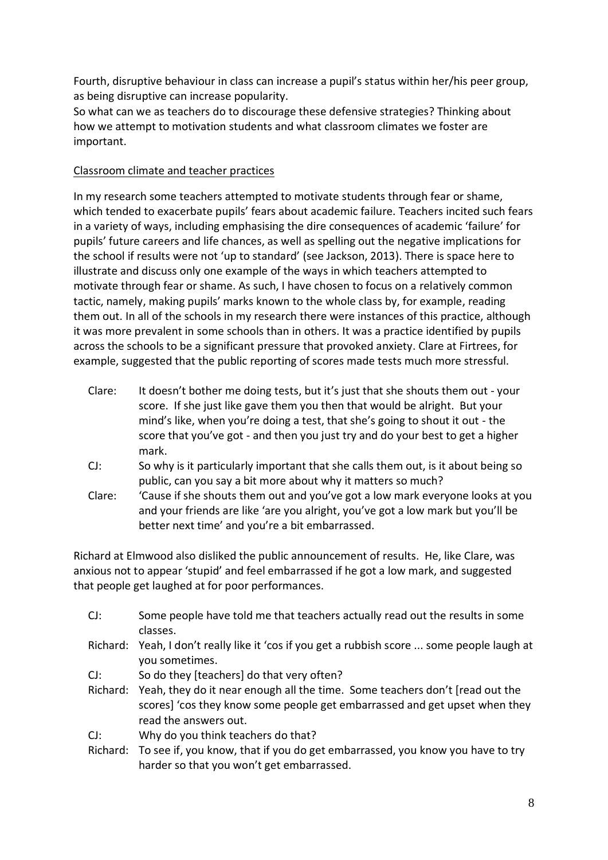Fourth, disruptive behaviour in class can increase a pupil's status within her/his peer group, as being disruptive can increase popularity.

So what can we as teachers do to discourage these defensive strategies? Thinking about how we attempt to motivation students and what classroom climates we foster are important.

# Classroom climate and teacher practices

In my research some teachers attempted to motivate students through fear or shame, which tended to exacerbate pupils' fears about academic failure. Teachers incited such fears in a variety of ways, including emphasising the dire consequences of academic 'failure' for pupils' future careers and life chances, as well as spelling out the negative implications for the school if results were not 'up to standard' (see Jackson, 2013). There is space here to illustrate and discuss only one example of the ways in which teachers attempted to motivate through fear or shame. As such, I have chosen to focus on a relatively common tactic, namely, making pupils' marks known to the whole class by, for example, reading them out. In all of the schools in my research there were instances of this practice, although it was more prevalent in some schools than in others. It was a practice identified by pupils across the schools to be a significant pressure that provoked anxiety. Clare at Firtrees, for example, suggested that the public reporting of scores made tests much more stressful.

- Clare: It doesn't bother me doing tests, but it's just that she shouts them out your score. If she just like gave them you then that would be alright. But your mind's like, when you're doing a test, that she's going to shout it out - the score that you've got - and then you just try and do your best to get a higher mark.
- CJ: So why is it particularly important that she calls them out, is it about being so public, can you say a bit more about why it matters so much?
- Clare: 'Cause if she shouts them out and you've got a low mark everyone looks at you and your friends are like 'are you alright, you've got a low mark but you'll be better next time' and you're a bit embarrassed.

Richard at Elmwood also disliked the public announcement of results. He, like Clare, was anxious not to appear 'stupid' and feel embarrassed if he got a low mark, and suggested that people get laughed at for poor performances.

| CI:      | Some people have told me that teachers actually read out the results in some<br>classes.                                                                                                     |
|----------|----------------------------------------------------------------------------------------------------------------------------------------------------------------------------------------------|
| Richard: | Yeah, I don't really like it 'cos if you get a rubbish score  some people laugh at<br>you sometimes.                                                                                         |
| CI:      | So do they [teachers] do that very often?                                                                                                                                                    |
|          | Richard: Yeah, they do it near enough all the time. Some teachers don't [read out the<br>scores] 'cos they know some people get embarrassed and get upset when they<br>read the answers out. |
| CI:      | Why do you think teachers do that?                                                                                                                                                           |
|          | Richard: To see if, you know, that if you do get embarrassed, you know you have to try<br>harder so that you won't get embarrassed.                                                          |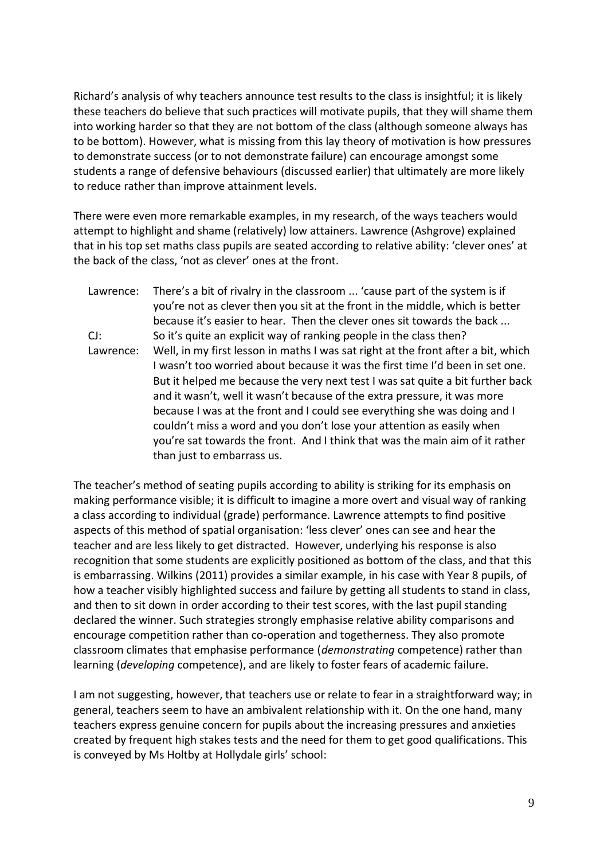Richard's analysis of why teachers announce test results to the class is insightful; it is likely these teachers do believe that such practices will motivate pupils, that they will shame them into working harder so that they are not bottom of the class (although someone always has to be bottom). However, what is missing from this lay theory of motivation is how pressures to demonstrate success (or to not demonstrate failure) can encourage amongst some students a range of defensive behaviours (discussed earlier) that ultimately are more likely to reduce rather than improve attainment levels.

There were even more remarkable examples, in my research, of the ways teachers would attempt to highlight and shame (relatively) low attainers. Lawrence (Ashgrove) explained that in his top set maths class pupils are seated according to relative ability: 'clever ones' at the back of the class, 'not as clever' ones at the front.

Lawrence: There's a bit of rivalry in the classroom ... 'cause part of the system is if you're not as clever then you sit at the front in the middle, which is better because it's easier to hear. Then the clever ones sit towards the back ... CJ: So it's quite an explicit way of ranking people in the class then? Lawrence: Well, in my first lesson in maths I was sat right at the front after a bit, which I wasn't too worried about because it was the first time I'd been in set one. But it helped me because the very next test I was sat quite a bit further back and it wasn't, well it wasn't because of the extra pressure, it was more because I was at the front and I could see everything she was doing and I couldn't miss a word and you don't lose your attention as easily when you're sat towards the front. And I think that was the main aim of it rather than just to embarrass us.

The teacher's method of seating pupils according to ability is striking for its emphasis on making performance visible; it is difficult to imagine a more overt and visual way of ranking a class according to individual (grade) performance. Lawrence attempts to find positive aspects of this method of spatial organisation: 'less clever' ones can see and hear the teacher and are less likely to get distracted. However, underlying his response is also recognition that some students are explicitly positioned as bottom of the class, and that this is embarrassing. Wilkins (2011) provides a similar example, in his case with Year 8 pupils, of how a teacher visibly highlighted success and failure by getting all students to stand in class, and then to sit down in order according to their test scores, with the last pupil standing declared the winner. Such strategies strongly emphasise relative ability comparisons and encourage competition rather than co-operation and togetherness. They also promote classroom climates that emphasise performance (*demonstrating* competence) rather than learning (*developing* competence), and are likely to foster fears of academic failure.

I am not suggesting, however, that teachers use or relate to fear in a straightforward way; in general, teachers seem to have an ambivalent relationship with it. On the one hand, many teachers express genuine concern for pupils about the increasing pressures and anxieties created by frequent high stakes tests and the need for them to get good qualifications. This is conveyed by Ms Holtby at Hollydale girls' school: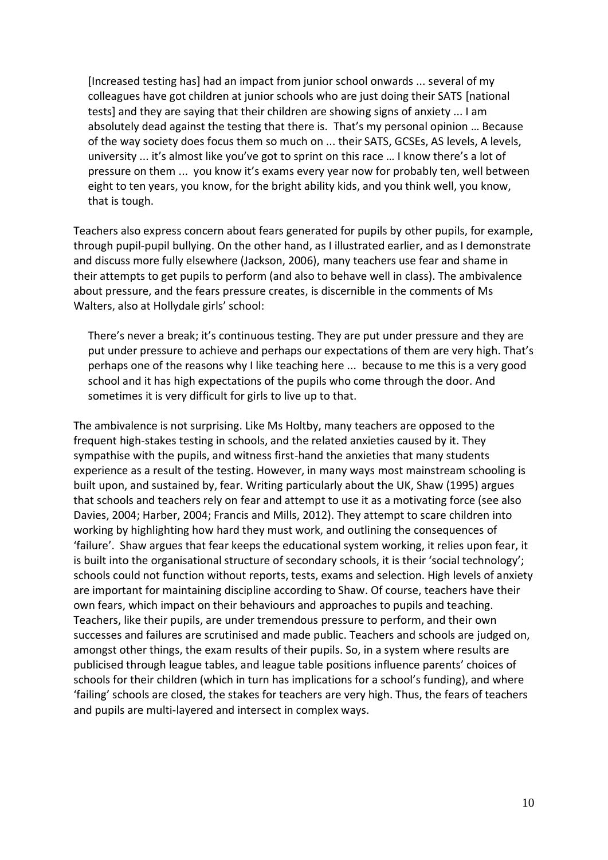[Increased testing has] had an impact from junior school onwards ... several of my colleagues have got children at junior schools who are just doing their SATS [national tests] and they are saying that their children are showing signs of anxiety ... I am absolutely dead against the testing that there is. That's my personal opinion … Because of the way society does focus them so much on ... their SATS, GCSEs, AS levels, A levels, university ... it's almost like you've got to sprint on this race … I know there's a lot of pressure on them ... you know it's exams every year now for probably ten, well between eight to ten years, you know, for the bright ability kids, and you think well, you know, that is tough.

Teachers also express concern about fears generated for pupils by other pupils, for example, through pupil-pupil bullying. On the other hand, as I illustrated earlier, and as I demonstrate and discuss more fully elsewhere (Jackson, 2006), many teachers use fear and shame in their attempts to get pupils to perform (and also to behave well in class). The ambivalence about pressure, and the fears pressure creates, is discernible in the comments of Ms Walters, also at Hollydale girls' school:

There's never a break; it's continuous testing. They are put under pressure and they are put under pressure to achieve and perhaps our expectations of them are very high. That's perhaps one of the reasons why I like teaching here ... because to me this is a very good school and it has high expectations of the pupils who come through the door. And sometimes it is very difficult for girls to live up to that.

The ambivalence is not surprising. Like Ms Holtby, many teachers are opposed to the frequent high-stakes testing in schools, and the related anxieties caused by it. They sympathise with the pupils, and witness first-hand the anxieties that many students experience as a result of the testing. However, in many ways most mainstream schooling is built upon, and sustained by, fear. Writing particularly about the UK, Shaw (1995) argues that schools and teachers rely on fear and attempt to use it as a motivating force (see also Davies, 2004; Harber, 2004; Francis and Mills, 2012). They attempt to scare children into working by highlighting how hard they must work, and outlining the consequences of 'failure'. Shaw argues that fear keeps the educational system working, it relies upon fear, it is built into the organisational structure of secondary schools, it is their 'social technology'; schools could not function without reports, tests, exams and selection. High levels of anxiety are important for maintaining discipline according to Shaw. Of course, teachers have their own fears, which impact on their behaviours and approaches to pupils and teaching. Teachers, like their pupils, are under tremendous pressure to perform, and their own successes and failures are scrutinised and made public. Teachers and schools are judged on, amongst other things, the exam results of their pupils. So, in a system where results are publicised through league tables, and league table positions influence parents' choices of schools for their children (which in turn has implications for a school's funding), and where 'failing' schools are closed, the stakes for teachers are very high. Thus, the fears of teachers and pupils are multi-layered and intersect in complex ways.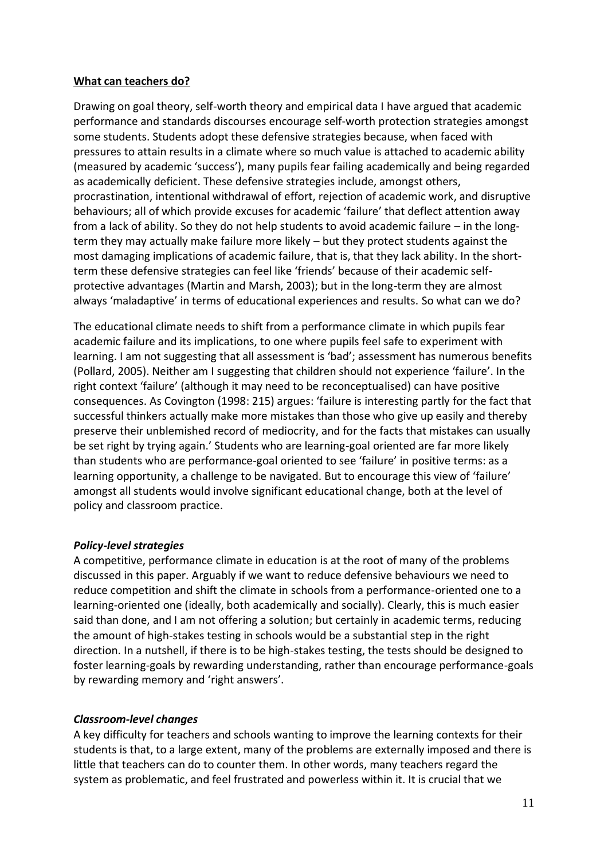### **What can teachers do?**

Drawing on goal theory, self-worth theory and empirical data I have argued that academic performance and standards discourses encourage self-worth protection strategies amongst some students. Students adopt these defensive strategies because, when faced with pressures to attain results in a climate where so much value is attached to academic ability (measured by academic 'success'), many pupils fear failing academically and being regarded as academically deficient. These defensive strategies include, amongst others, procrastination, intentional withdrawal of effort, rejection of academic work, and disruptive behaviours; all of which provide excuses for academic 'failure' that deflect attention away from a lack of ability. So they do not help students to avoid academic failure – in the longterm they may actually make failure more likely – but they protect students against the most damaging implications of academic failure, that is, that they lack ability. In the shortterm these defensive strategies can feel like 'friends' because of their academic selfprotective advantages (Martin and Marsh, 2003); but in the long-term they are almost always 'maladaptive' in terms of educational experiences and results. So what can we do?

The educational climate needs to shift from a performance climate in which pupils fear academic failure and its implications, to one where pupils feel safe to experiment with learning. I am not suggesting that all assessment is 'bad'; assessment has numerous benefits (Pollard, 2005). Neither am I suggesting that children should not experience 'failure'. In the right context 'failure' (although it may need to be reconceptualised) can have positive consequences. As Covington (1998: 215) argues: 'failure is interesting partly for the fact that successful thinkers actually make more mistakes than those who give up easily and thereby preserve their unblemished record of mediocrity, and for the facts that mistakes can usually be set right by trying again.' Students who are learning-goal oriented are far more likely than students who are performance-goal oriented to see 'failure' in positive terms: as a learning opportunity, a challenge to be navigated. But to encourage this view of 'failure' amongst all students would involve significant educational change, both at the level of policy and classroom practice.

### *Policy-level strategies*

A competitive, performance climate in education is at the root of many of the problems discussed in this paper. Arguably if we want to reduce defensive behaviours we need to reduce competition and shift the climate in schools from a performance-oriented one to a learning-oriented one (ideally, both academically and socially). Clearly, this is much easier said than done, and I am not offering a solution; but certainly in academic terms, reducing the amount of high-stakes testing in schools would be a substantial step in the right direction. In a nutshell, if there is to be high-stakes testing, the tests should be designed to foster learning-goals by rewarding understanding, rather than encourage performance-goals by rewarding memory and 'right answers'.

#### *Classroom-level changes*

A key difficulty for teachers and schools wanting to improve the learning contexts for their students is that, to a large extent, many of the problems are externally imposed and there is little that teachers can do to counter them. In other words, many teachers regard the system as problematic, and feel frustrated and powerless within it. It is crucial that we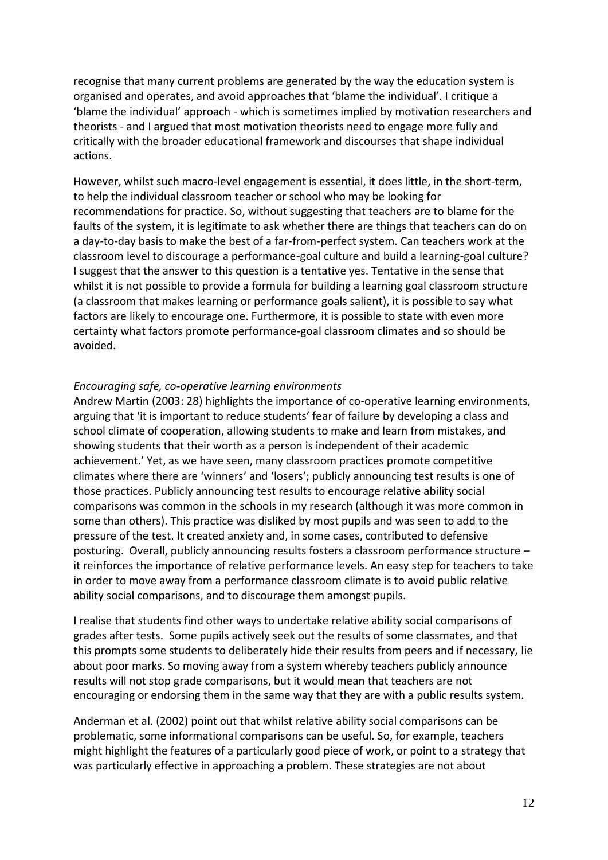recognise that many current problems are generated by the way the education system is organised and operates, and avoid approaches that 'blame the individual'. I critique a 'blame the individual' approach - which is sometimes implied by motivation researchers and theorists - and I argued that most motivation theorists need to engage more fully and critically with the broader educational framework and discourses that shape individual actions.

However, whilst such macro-level engagement is essential, it does little, in the short-term, to help the individual classroom teacher or school who may be looking for recommendations for practice. So, without suggesting that teachers are to blame for the faults of the system, it is legitimate to ask whether there are things that teachers can do on a day-to-day basis to make the best of a far-from-perfect system. Can teachers work at the classroom level to discourage a performance-goal culture and build a learning-goal culture? I suggest that the answer to this question is a tentative yes. Tentative in the sense that whilst it is not possible to provide a formula for building a learning goal classroom structure (a classroom that makes learning or performance goals salient), it is possible to say what factors are likely to encourage one. Furthermore, it is possible to state with even more certainty what factors promote performance-goal classroom climates and so should be avoided.

#### *Encouraging safe, co-operative learning environments*

Andrew Martin (2003: 28) highlights the importance of co-operative learning environments, arguing that 'it is important to reduce students' fear of failure by developing a class and school climate of cooperation, allowing students to make and learn from mistakes, and showing students that their worth as a person is independent of their academic achievement.' Yet, as we have seen, many classroom practices promote competitive climates where there are 'winners' and 'losers'; publicly announcing test results is one of those practices. Publicly announcing test results to encourage relative ability social comparisons was common in the schools in my research (although it was more common in some than others). This practice was disliked by most pupils and was seen to add to the pressure of the test. It created anxiety and, in some cases, contributed to defensive posturing. Overall, publicly announcing results fosters a classroom performance structure – it reinforces the importance of relative performance levels. An easy step for teachers to take in order to move away from a performance classroom climate is to avoid public relative ability social comparisons, and to discourage them amongst pupils.

I realise that students find other ways to undertake relative ability social comparisons of grades after tests. Some pupils actively seek out the results of some classmates, and that this prompts some students to deliberately hide their results from peers and if necessary, lie about poor marks. So moving away from a system whereby teachers publicly announce results will not stop grade comparisons, but it would mean that teachers are not encouraging or endorsing them in the same way that they are with a public results system.

Anderman et al. (2002) point out that whilst relative ability social comparisons can be problematic, some informational comparisons can be useful. So, for example, teachers might highlight the features of a particularly good piece of work, or point to a strategy that was particularly effective in approaching a problem. These strategies are not about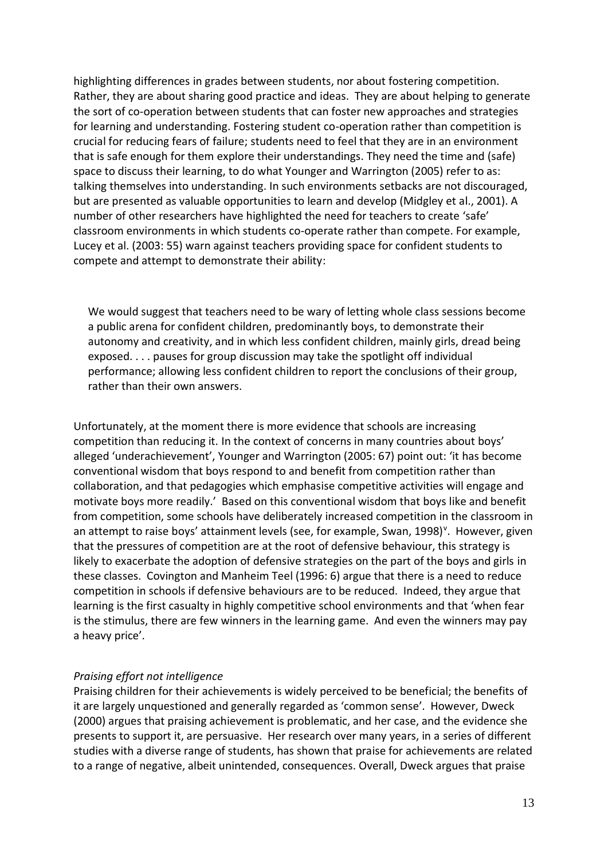highlighting differences in grades between students, nor about fostering competition. Rather, they are about sharing good practice and ideas. They are about helping to generate the sort of co-operation between students that can foster new approaches and strategies for learning and understanding. Fostering student co-operation rather than competition is crucial for reducing fears of failure; students need to feel that they are in an environment that is safe enough for them explore their understandings. They need the time and (safe) space to discuss their learning, to do what Younger and Warrington (2005) refer to as: talking themselves into understanding. In such environments setbacks are not discouraged, but are presented as valuable opportunities to learn and develop (Midgley et al., 2001). A number of other researchers have highlighted the need for teachers to create 'safe' classroom environments in which students co-operate rather than compete. For example, Lucey et al. (2003: 55) warn against teachers providing space for confident students to compete and attempt to demonstrate their ability:

We would suggest that teachers need to be wary of letting whole class sessions become a public arena for confident children, predominantly boys, to demonstrate their autonomy and creativity, and in which less confident children, mainly girls, dread being exposed. . . . pauses for group discussion may take the spotlight off individual performance; allowing less confident children to report the conclusions of their group, rather than their own answers.

Unfortunately, at the moment there is more evidence that schools are increasing competition than reducing it. In the context of concerns in many countries about boys' alleged 'underachievement', Younger and Warrington (2005: 67) point out: 'it has become conventional wisdom that boys respond to and benefit from competition rather than collaboration, and that pedagogies which emphasise competitive activities will engage and motivate boys more readily.' Based on this conventional wisdom that boys like and benefit from competition, some schools have deliberately increased competition in the classroom in an attempt to raise boys' attainment levels (see, for example, Swan, 1998)<sup>v</sup>. However, given that the pressures of competition are at the root of defensive behaviour, this strategy is likely to exacerbate the adoption of defensive strategies on the part of the boys and girls in these classes. Covington and Manheim Teel (1996: 6) argue that there is a need to reduce competition in schools if defensive behaviours are to be reduced. Indeed, they argue that learning is the first casualty in highly competitive school environments and that 'when fear is the stimulus, there are few winners in the learning game. And even the winners may pay a heavy price'.

#### *Praising effort not intelligence*

Praising children for their achievements is widely perceived to be beneficial; the benefits of it are largely unquestioned and generally regarded as 'common sense'. However, Dweck (2000) argues that praising achievement is problematic, and her case, and the evidence she presents to support it, are persuasive. Her research over many years, in a series of different studies with a diverse range of students, has shown that praise for achievements are related to a range of negative, albeit unintended, consequences. Overall, Dweck argues that praise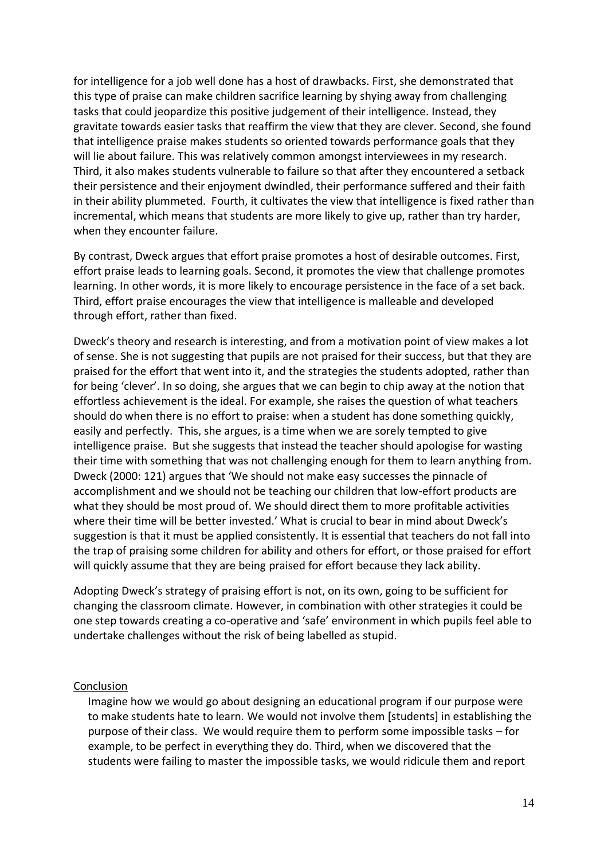for intelligence for a job well done has a host of drawbacks. First, she demonstrated that this type of praise can make children sacrifice learning by shying away from challenging tasks that could jeopardize this positive judgement of their intelligence. Instead, they gravitate towards easier tasks that reaffirm the view that they are clever. Second, she found that intelligence praise makes students so oriented towards performance goals that they will lie about failure. This was relatively common amongst interviewees in my research. Third, it also makes students vulnerable to failure so that after they encountered a setback their persistence and their enjoyment dwindled, their performance suffered and their faith in their ability plummeted. Fourth, it cultivates the view that intelligence is fixed rather than incremental, which means that students are more likely to give up, rather than try harder, when they encounter failure.

By contrast, Dweck argues that effort praise promotes a host of desirable outcomes. First, effort praise leads to learning goals. Second, it promotes the view that challenge promotes learning. In other words, it is more likely to encourage persistence in the face of a set back. Third, effort praise encourages the view that intelligence is malleable and developed through effort, rather than fixed.

Dweck's theory and research is interesting, and from a motivation point of view makes a lot of sense. She is not suggesting that pupils are not praised for their success, but that they are praised for the effort that went into it, and the strategies the students adopted, rather than for being 'clever'. In so doing, she argues that we can begin to chip away at the notion that effortless achievement is the ideal. For example, she raises the question of what teachers should do when there is no effort to praise: when a student has done something quickly, easily and perfectly. This, she argues, is a time when we are sorely tempted to give intelligence praise. But she suggests that instead the teacher should apologise for wasting their time with something that was not challenging enough for them to learn anything from. Dweck (2000: 121) argues that 'We should not make easy successes the pinnacle of accomplishment and we should not be teaching our children that low-effort products are what they should be most proud of. We should direct them to more profitable activities where their time will be better invested.' What is crucial to bear in mind about Dweck's suggestion is that it must be applied consistently. It is essential that teachers do not fall into the trap of praising some children for ability and others for effort, or those praised for effort will quickly assume that they are being praised for effort because they lack ability.

Adopting Dweck's strategy of praising effort is not, on its own, going to be sufficient for changing the classroom climate. However, in combination with other strategies it could be one step towards creating a co-operative and 'safe' environment in which pupils feel able to undertake challenges without the risk of being labelled as stupid.

#### Conclusion

Imagine how we would go about designing an educational program if our purpose were to make students hate to learn. We would not involve them [students] in establishing the purpose of their class. We would require them to perform some impossible tasks – for example, to be perfect in everything they do. Third, when we discovered that the students were failing to master the impossible tasks, we would ridicule them and report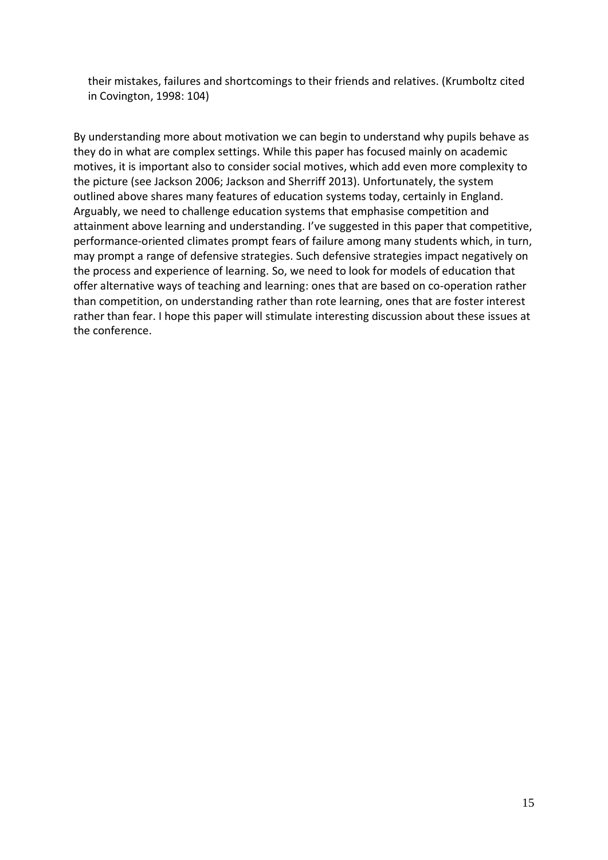their mistakes, failures and shortcomings to their friends and relatives. (Krumboltz cited in Covington, 1998: 104)

By understanding more about motivation we can begin to understand why pupils behave as they do in what are complex settings. While this paper has focused mainly on academic motives, it is important also to consider social motives, which add even more complexity to the picture (see Jackson 2006; Jackson and Sherriff 2013). Unfortunately, the system outlined above shares many features of education systems today, certainly in England. Arguably, we need to challenge education systems that emphasise competition and attainment above learning and understanding. I've suggested in this paper that competitive, performance-oriented climates prompt fears of failure among many students which, in turn, may prompt a range of defensive strategies. Such defensive strategies impact negatively on the process and experience of learning. So, we need to look for models of education that offer alternative ways of teaching and learning: ones that are based on co-operation rather than competition, on understanding rather than rote learning, ones that are foster interest rather than fear. I hope this paper will stimulate interesting discussion about these issues at the conference.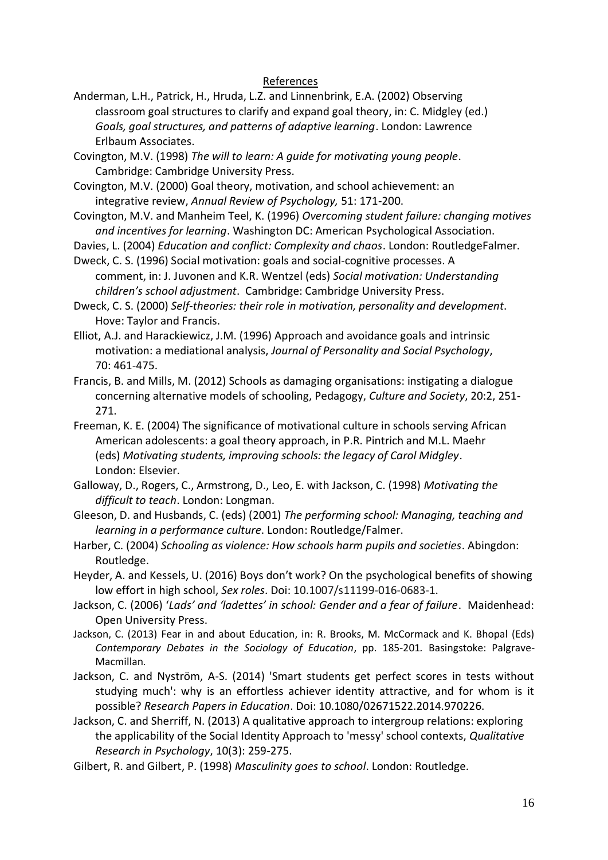#### References

- Anderman, L.H., Patrick, H., Hruda, L.Z. and Linnenbrink, E.A. (2002) Observing classroom goal structures to clarify and expand goal theory, in: C. Midgley (ed.) *Goals, goal structures, and patterns of adaptive learning*. London: Lawrence Erlbaum Associates.
- Covington, M.V. (1998) *The will to learn: A guide for motivating young people*. Cambridge: Cambridge University Press.
- Covington, M.V. (2000) Goal theory, motivation, and school achievement: an integrative review, *Annual Review of Psychology,* 51: 171-200.
- Covington, M.V. and Manheim Teel, K. (1996) *Overcoming student failure: changing motives and incentives for learning*. Washington DC: American Psychological Association.
- Davies, L. (2004) *Education and conflict: Complexity and chaos*. London: RoutledgeFalmer.
- Dweck, C. S. (1996) Social motivation: goals and social-cognitive processes. A comment, in: J. Juvonen and K.R. Wentzel (eds) *Social motivation: Understanding children's school adjustment*. Cambridge: Cambridge University Press.
- Dweck, C. S. (2000) *Self-theories: their role in motivation, personality and development*. Hove: Taylor and Francis.
- Elliot, A.J. and Harackiewicz, J.M. (1996) Approach and avoidance goals and intrinsic motivation: a mediational analysis, *Journal of Personality and Social Psychology*, 70: 461-475.
- Francis, B. and Mills, M. (2012) Schools as damaging organisations: instigating a dialogue concerning alternative models of schooling, Pedagogy, *Culture and Society*, 20:2, 251- 271.
- Freeman, K. E. (2004) The significance of motivational culture in schools serving African American adolescents: a goal theory approach, in P.R. Pintrich and M.L. Maehr (eds) *Motivating students, improving schools: the legacy of Carol Midgley*. London: Elsevier.
- Galloway, D., Rogers, C., Armstrong, D., Leo, E. with Jackson, C. (1998) *Motivating the difficult to teach*. London: Longman.
- Gleeson, D. and Husbands, C. (eds) (2001) *The performing school: Managing, teaching and learning in a performance culture*. London: Routledge/Falmer.
- Harber, C. (2004) *Schooling as violence: How schools harm pupils and societies*. Abingdon: Routledge.
- Heyder, A. and Kessels, U. (2016) Boys don't work? On the psychological benefits of showing low effort in high school, *Sex roles*. Doi: 10.1007/s11199-016-0683-1.
- Jackson, C. (2006) '*Lads' and 'ladettes' in school: Gender and a fear of failure*. Maidenhead: Open University Press.
- Jackson, C. (2013) [Fear in and about Education,](http://www.research.lancs.ac.uk/portal/en/publications/fear-in-and-about-education(38b4bdf9-e880-45e1-b51c-a61339377dfe).html) in: R. Brooks, M. McCormack and K. Bhopal (Eds) *Contemporary Debates in the Sociology of Education*, pp. 185-201*.* Basingstoke: Palgrave-Macmillan.
- Jackson, C. and Nyström, A-S. (2014) 'Smart students get perfect scores in tests without studying much': why is an effortless achiever identity attractive, and for whom is it possible? *Research Papers in Education*. Doi: 10.1080/02671522.2014.970226.
- Jackson, C. and Sherriff, N. (2013) A qualitative approach to intergroup relations: exploring the applicability of the Social Identity Approach to 'messy' school contexts, *Qualitative Research in Psychology*, 10(3): 259-275.
- Gilbert, R. and Gilbert, P. (1998) *Masculinity goes to school*. London: Routledge.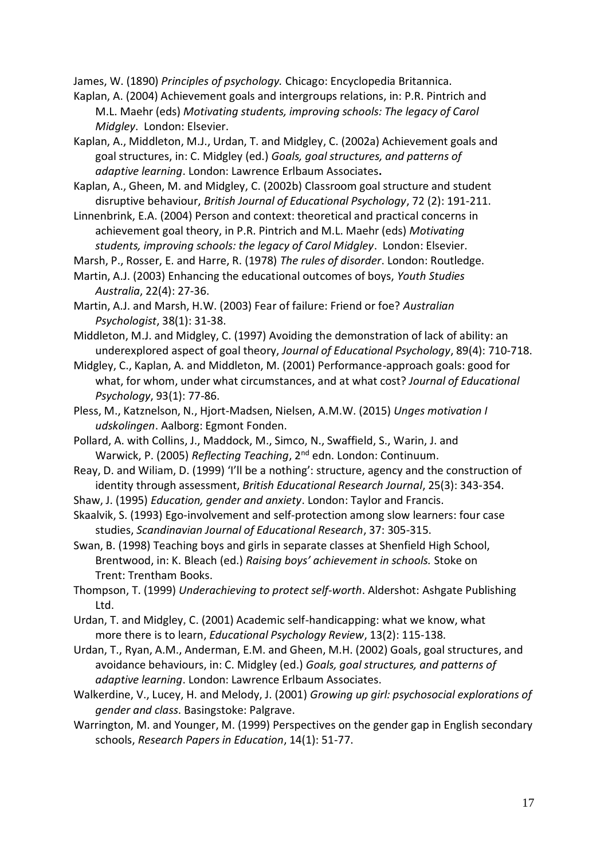James, W. (1890) *Principles of psychology.* Chicago: Encyclopedia Britannica.

- Kaplan, A. (2004) Achievement goals and intergroups relations, in: P.R. Pintrich and M.L. Maehr (eds) *Motivating students, improving schools: The legacy of Carol Midgley*. London: Elsevier.
- Kaplan, A., Middleton, M.J., Urdan, T. and Midgley, C. (2002a) Achievement goals and goal structures, in: C. Midgley (ed.) *Goals, goal structures, and patterns of adaptive learning*. London: Lawrence Erlbaum Associates**.**
- Kaplan, A., Gheen, M. and Midgley, C. (2002b) Classroom goal structure and student disruptive behaviour, *British Journal of Educational Psychology*, 72 (2): 191-211.
- Linnenbrink, E.A. (2004) Person and context: theoretical and practical concerns in achievement goal theory, in P.R. Pintrich and M.L. Maehr (eds) *Motivating students, improving schools: the legacy of Carol Midgley*. London: Elsevier.
- Marsh, P., Rosser, E. and Harre, R. (1978) *The rules of disorder*. London: Routledge.
- Martin, A.J. (2003) Enhancing the educational outcomes of boys, *Youth Studies Australia*, 22(4): 27-36.
- Martin, A.J. and Marsh, H.W. (2003) Fear of failure: Friend or foe? *Australian Psychologist*, 38(1): 31-38.
- Middleton, M.J. and Midgley, C. (1997) Avoiding the demonstration of lack of ability: an underexplored aspect of goal theory, *Journal of Educational Psychology*, 89(4): 710-718.
- Midgley, C., Kaplan, A. and Middleton, M. (2001) Performance-approach goals: good for what, for whom, under what circumstances, and at what cost? *Journal of Educational Psychology*, 93(1): 77-86.
- Pless, M., Katznelson, N., Hjort-Madsen, Nielsen, A.M.W. (2015) *Unges motivation I udskolingen*. Aalborg: Egmont Fonden.
- Pollard, A. with Collins, J., Maddock, M., Simco, N., Swaffield, S., Warin, J. and Warwick, P. (2005) *Reflecting Teaching*, 2<sup>nd</sup> edn. London: Continuum.
- Reay, D. and Wiliam, D. (1999) 'I'll be a nothing': structure, agency and the construction of identity through assessment, *British Educational Research Journal*, 25(3): 343-354.
- Shaw, J. (1995) *Education, gender and anxiety*. London: Taylor and Francis.
- Skaalvik, S. (1993) Ego-involvement and self-protection among slow learners: four case studies, *Scandinavian Journal of Educational Research*, 37: 305-315.
- Swan, B. (1998) Teaching boys and girls in separate classes at Shenfield High School, Brentwood, in: K. Bleach (ed.) *Raising boys' achievement in schools.* Stoke on Trent: Trentham Books.
- Thompson, T. (1999) *Underachieving to protect self-worth*. Aldershot: Ashgate Publishing Ltd.
- Urdan, T. and Midgley, C. (2001) Academic self-handicapping: what we know, what more there is to learn, *Educational Psychology Review*, 13(2): 115-138.
- Urdan, T., Ryan, A.M., Anderman, E.M. and Gheen, M.H. (2002) Goals, goal structures, and avoidance behaviours, in: C. Midgley (ed.) *Goals, goal structures, and patterns of adaptive learning*. London: Lawrence Erlbaum Associates.
- Walkerdine, V., Lucey, H. and Melody, J. (2001) *Growing up girl: psychosocial explorations of gender and class*. Basingstoke: Palgrave.
- Warrington, M. and Younger, M. (1999) Perspectives on the gender gap in English secondary schools, *Research Papers in Education*, 14(1): 51-77.